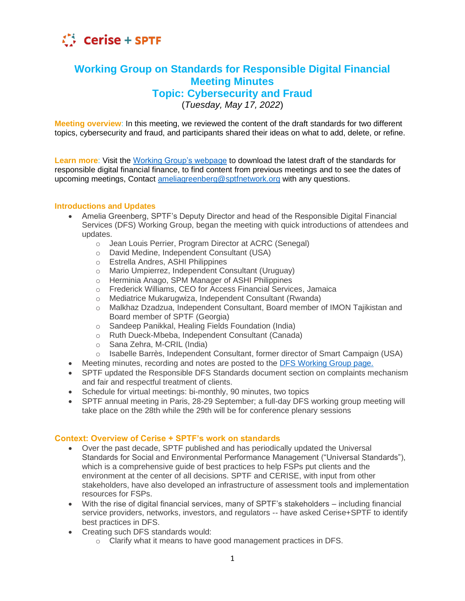

## **Working Group on Standards for Responsible Digital Financial Meeting Minutes Topic: Cybersecurity and Fraud** (*Tuesday, May 17, 2022*)

**Meeting overview**: In this meeting, we reviewed the content of the draft standards for two different topics, cybersecurity and fraud, and participants shared their ideas on what to add, delete, or refine.

**Learn more**: Visit the [Working Group's webpage](https://sptf.info/working-groups/dfs-standards) to download the latest draft of the standards for responsible digital financial finance, to find content from previous meetings and to see the dates of upcoming meetings, Contact [ameliagreenberg@sptfnetwork.org](mailto:ameliagreenberg@sptfnetwork.org) with any questions.

#### **Introductions and Updates**

- Amelia Greenberg, SPTF's Deputy Director and head of the Responsible Digital Financial Services (DFS) Working Group, began the meeting with quick introductions of attendees and updates.
	- o Jean Louis Perrier, Program Director at ACRC (Senegal)
	- o David Medine, Independent Consultant (USA)
	- o Estrella Andres, ASHI Philippines
	- o Mario Umpierrez, Independent Consultant (Uruguay)
	- o Herminia Anago, SPM Manager of ASHI Philippines
	- o Frederick Williams, CEO for Access Financial Services, Jamaica
	- o Mediatrice Mukarugwiza, Independent Consultant (Rwanda)
	- o Malkhaz Dzadzua, Independent Consultant, Board member of IMON Tajikistan and Board member of SPTF (Georgia)
	- o Sandeep Panikkal, Healing Fields Foundation (India)
	- o Ruth Dueck-Mbeba, Independent Consultant (Canada)
	- o Sana Zehra, M-CRIL (India)
	- $\circ$  Isabelle Barrès, Independent Consultant, former director of Smart Campaign (USA)
- Meeting minutes, recording and notes are posted to the **DFS Working Group page.**
- SPTF updated the Responsible DFS Standards document section on complaints mechanism and fair and respectful treatment of clients.
- Schedule for virtual meetings: bi-monthly, 90 minutes, two topics
- SPTF annual meeting in Paris, 28-29 September; a full-day DFS working group meeting will take place on the 28th while the 29th will be for conference plenary sessions

### **Context: Overview of Cerise + SPTF's work on standards**

- Over the past decade, SPTF published and has periodically updated the Universal Standards for Social and Environmental Performance Management ("Universal Standards"), which is a comprehensive guide of best practices to help FSPs put clients and the environment at the center of all decisions. SPTF and CERISE, with input from other stakeholders, have also developed an infrastructure of assessment tools and implementation resources for FSPs.
- With the rise of digital financial services, many of SPTF's stakeholders including financial service providers, networks, investors, and regulators -- have asked Cerise+SPTF to identify best practices in DFS.
- Creating such DFS standards would:
	- o Clarify what it means to have good management practices in DFS.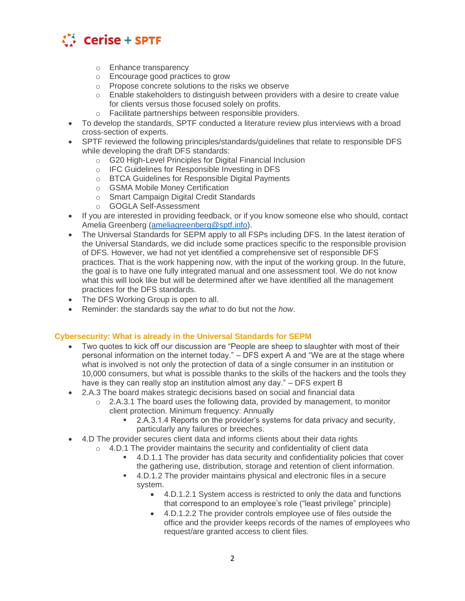- o Enhance transparency
- o Encourage good practices to grow
- o Propose concrete solutions to the risks we observe
- $\circ$  Enable stakeholders to distinguish between providers with a desire to create value for clients versus those focused solely on profits.
- o Facilitate partnerships between responsible providers.
- To develop the standards, SPTF conducted a literature review plus interviews with a broad cross-section of experts.
- SPTF reviewed the following principles/standards/guidelines that relate to responsible DFS while developing the draft DFS standards:
	- o G20 High-Level Principles for Digital Financial Inclusion
	- o IFC Guidelines for Responsible Investing in DFS
	- o BTCA Guidelines for Responsible Digital Payments
	- o GSMA Mobile Money Certification
	- o Smart Campaign Digital Credit Standards
	- o GOGLA Self-Assessment
- If you are interested in providing feedback, or if you know someone else who should, contact Amelia Greenberg [\(ameliagreenberg@sptf.info\)](mailto:ameliagreenberg@sptf.info).
- The Universal Standards for SEPM apply to all FSPs including DFS. In the latest iteration of the Universal Standards, we did include some practices specific to the responsible provision of DFS. However, we had not yet identified a comprehensive set of responsible DFS practices. That is the work happening now, with the input of the working group. In the future, the goal is to have one fully integrated manual and one assessment tool. We do not know what this will look like but will be determined after we have identified all the management practices for the DFS standards.
- The DFS Working Group is open to all.
- Reminder: the standards say the *what* to do but not the *how*.

### **Cybersecurity: What is already in the Universal Standards for SEPM**

- Two quotes to kick off our discussion are "People are sheep to slaughter with most of their personal information on the internet today." – DFS expert A and "We are at the stage where what is involved is not only the protection of data of a single consumer in an institution or 10,000 consumers, but what is possible thanks to the skills of the hackers and the tools they have is they can really stop an institution almost any day." – DFS expert B
- 2.A.3 The board makes strategic decisions based on social and financial data
	- $\circ$  2.A.3.1 The board uses the following data, provided by management, to monitor client protection. Minimum frequency: Annually
		- 2.A.3.1.4 Reports on the provider's systems for data privacy and security, particularly any failures or breeches.
- 4.D The provider secures client data and informs clients about their data rights
	- $\circ$  4.D.1 The provider maintains the security and confidentiality of client data
		- 4.D.1.1 The provider has data security and confidentiality policies that cover the gathering use, distribution, storage and retention of client information.
		- 4.D.1.2 The provider maintains physical and electronic files in a secure system.
			- 4.D.1.2.1 System access is restricted to only the data and functions that correspond to an employee's role ("least privilege" principle)
			- 4.D.1.2.2 The provider controls employee use of files outside the office and the provider keeps records of the names of employees who request/are granted access to client files.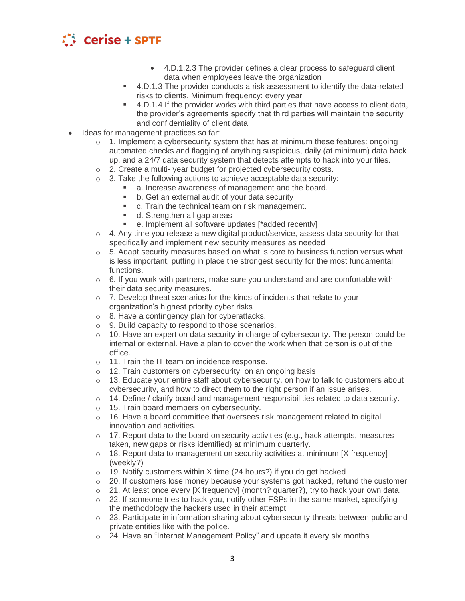- 4.D.1.2.3 The provider defines a clear process to safeguard client data when employees leave the organization
- 4.D.1.3 The provider conducts a risk assessment to identify the data-related risks to clients. Minimum frequency: every year
- 4.D.1.4 If the provider works with third parties that have access to client data, the provider's agreements specify that third parties will maintain the security and confidentiality of client data
- Ideas for management practices so far:
	- $\circ$  1. Implement a cybersecurity system that has at minimum these features: ongoing automated checks and flagging of anything suspicious, daily (at minimum) data back up, and a 24/7 data security system that detects attempts to hack into your files.
	- o 2. Create a multi- year budget for projected cybersecurity costs.
	- $\circ$  3. Take the following actions to achieve acceptable data security:
		- a. Increase awareness of management and the board.
		- b. Get an external audit of your data security
		- c. Train the technical team on risk management.
		- d. Strengthen all gap areas
		- e. Implement all software updates [\*added recently]
	- o 4. Any time you release a new digital product/service, assess data security for that specifically and implement new security measures as needed
	- $\circ$  5. Adapt security measures based on what is core to business function versus what is less important, putting in place the strongest security for the most fundamental functions.
	- o 6. If you work with partners, make sure you understand and are comfortable with their data security measures.
	- o 7. Develop threat scenarios for the kinds of incidents that relate to your organization's highest priority cyber risks.
	- o 8. Have a contingency plan for cyberattacks.
	- o 9. Build capacity to respond to those scenarios.
	- o 10. Have an expert on data security in charge of cybersecurity. The person could be internal or external. Have a plan to cover the work when that person is out of the office.
	- o 11. Train the IT team on incidence response.
	- o 12. Train customers on cybersecurity, on an ongoing basis
	- $\circ$  13. Educate your entire staff about cybersecurity, on how to talk to customers about cybersecurity, and how to direct them to the right person if an issue arises.
	- $\circ$  14. Define / clarify board and management responsibilities related to data security.
	- o 15. Train board members on cybersecurity.
	- $\circ$  16. Have a board committee that oversees risk management related to digital innovation and activities.
	- $\circ$  17. Report data to the board on security activities (e.g., hack attempts, measures taken, new gaps or risks identified) at minimum quarterly.
	- $\circ$  18. Report data to management on security activities at minimum [X frequency] (weekly?)
	- $\circ$  19. Notify customers within X time (24 hours?) if you do get hacked
	- $\circ$  20. If customers lose money because your systems got hacked, refund the customer.
	- $\circ$  21. At least once every [X frequency] (month? quarter?), try to hack your own data.
	- $\circ$  22. If someone tries to hack you, notify other FSPs in the same market, specifying the methodology the hackers used in their attempt.
	- o 23. Participate in information sharing about cybersecurity threats between public and private entities like with the police.
	- o 24. Have an "Internet Management Policy" and update it every six months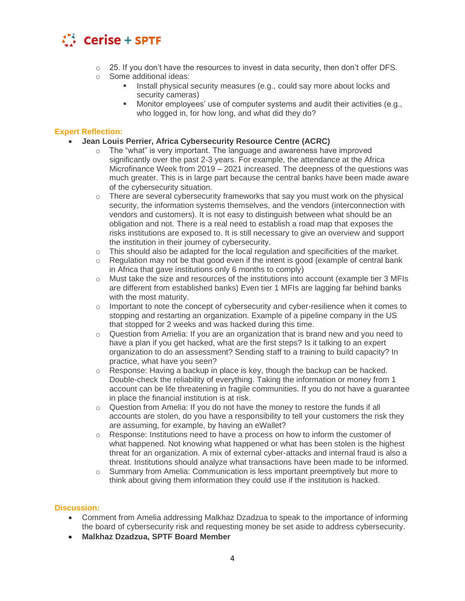- $\circ$  25. If you don't have the resources to invest in data security, then don't offer DFS.
- o Some additional ideas:
	- Install physical security measures (e.g., could say more about locks and security cameras)
	- Monitor employees' use of computer systems and audit their activities (e.g., who logged in, for how long, and what did they do?

### **Expert Reflection:**

- **Jean Louis Perrier, Africa Cybersecurity Resource Centre (ACRC)**
	- o The "what" is very important. The language and awareness have improved significantly over the past 2-3 years. For example, the attendance at the Africa Microfinance Week from 2019 – 2021 increased. The deepness of the questions was much greater. This is in large part because the central banks have been made aware of the cybersecurity situation.
	- $\circ$  There are several cybersecurity frameworks that say you must work on the physical security, the information systems themselves, and the vendors (interconnection with vendors and customers). It is not easy to distinguish between what should be an obligation and not. There is a real need to establish a road map that exposes the risks institutions are exposed to. It is still necessary to give an overview and support the institution in their journey of cybersecurity.
	- $\circ$  This should also be adapted for the local regulation and specificities of the market.
	- $\circ$  Regulation may not be that good even if the intent is good (example of central bank in Africa that gave institutions only 6 months to comply)
	- $\circ$  Must take the size and resources of the institutions into account (example tier 3 MFIs are different from established banks) Even tier 1 MFIs are lagging far behind banks with the most maturity.
	- $\circ$  Important to note the concept of cybersecurity and cyber-resilience when it comes to stopping and restarting an organization. Example of a pipeline company in the US that stopped for 2 weeks and was hacked during this time.
	- $\circ$  Question from Amelia: If you are an organization that is brand new and you need to have a plan if you get hacked, what are the first steps? Is it talking to an expert organization to do an assessment? Sending staff to a training to build capacity? In practice, what have you seen?
	- $\circ$  Response: Having a backup in place is key, though the backup can be hacked. Double-check the reliability of everything. Taking the information or money from 1 account can be life threatening in fragile communities. If you do not have a guarantee in place the financial institution is at risk.
	- $\circ$  Question from Amelia: If you do not have the money to restore the funds if all accounts are stolen, do you have a responsibility to tell your customers the risk they are assuming, for example, by having an eWallet?
	- $\circ$  Response: Institutions need to have a process on how to inform the customer of what happened. Not knowing what happened or what has been stolen is the highest threat for an organization. A mix of external cyber-attacks and internal fraud is also a threat. Institutions should analyze what transactions have been made to be informed.
	- o Summary from Amelia: Communication is less important preemptively but more to think about giving them information they could use if the institution is hacked.

### **Discussion:**

- Comment from Amelia addressing Malkhaz Dzadzua to speak to the importance of informing the board of cybersecurity risk and requesting money be set aside to address cybersecurity.
- **Malkhaz Dzadzua, SPTF Board Member**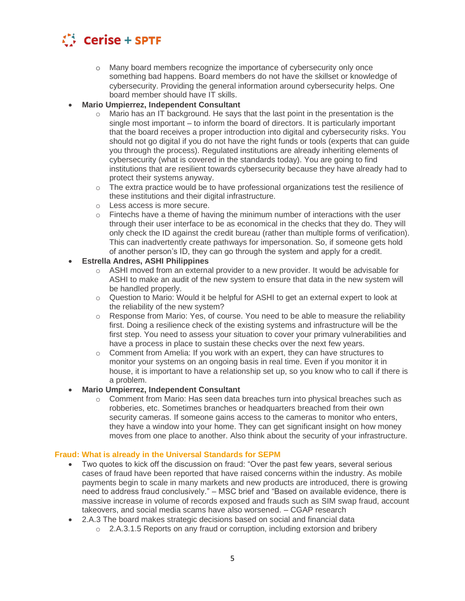o Many board members recognize the importance of cybersecurity only once something bad happens. Board members do not have the skillset or knowledge of cybersecurity. Providing the general information around cybersecurity helps. One board member should have IT skills.

### • **Mario Umpierrez, Independent Consultant**

- $\circ$  Mario has an IT background. He says that the last point in the presentation is the single most important – to inform the board of directors. It is particularly important that the board receives a proper introduction into digital and cybersecurity risks. You should not go digital if you do not have the right funds or tools (experts that can guide you through the process). Regulated institutions are already inheriting elements of cybersecurity (what is covered in the standards today). You are going to find institutions that are resilient towards cybersecurity because they have already had to protect their systems anyway.
- $\circ$  The extra practice would be to have professional organizations test the resilience of these institutions and their digital infrastructure.
- o Less access is more secure.
- $\circ$  Fintechs have a theme of having the minimum number of interactions with the user through their user interface to be as economical in the checks that they do. They will only check the ID against the credit bureau (rather than multiple forms of verification). This can inadvertently create pathways for impersonation. So, if someone gets hold of another person's ID, they can go through the system and apply for a credit.

### • **Estrella Andres, ASHI Philippines**

- $\circ$  ASHI moved from an external provider to a new provider. It would be advisable for ASHI to make an audit of the new system to ensure that data in the new system will be handled properly.
- $\circ$  Question to Mario: Would it be helpful for ASHI to get an external expert to look at the reliability of the new system?
- $\circ$  Response from Mario: Yes, of course. You need to be able to measure the reliability first. Doing a resilience check of the existing systems and infrastructure will be the first step. You need to assess your situation to cover your primary vulnerabilities and have a process in place to sustain these checks over the next few years.
- $\circ$  Comment from Amelia: If you work with an expert, they can have structures to monitor your systems on an ongoing basis in real time. Even if you monitor it in house, it is important to have a relationship set up, so you know who to call if there is a problem.

### • **Mario Umpierrez, Independent Consultant**

 $\circ$  Comment from Mario: Has seen data breaches turn into physical breaches such as robberies, etc. Sometimes branches or headquarters breached from their own security cameras. If someone gains access to the cameras to monitor who enters, they have a window into your home. They can get significant insight on how money moves from one place to another. Also think about the security of your infrastructure.

### **Fraud: What is already in the Universal Standards for SEPM**

- Two quotes to kick off the discussion on fraud: "Over the past few years, several serious cases of fraud have been reported that have raised concerns within the industry. As mobile payments begin to scale in many markets and new products are introduced, there is growing need to address fraud conclusively." – MSC brief and "Based on available evidence, there is massive increase in volume of records exposed and frauds such as SIM swap fraud, account takeovers, and social media scams have also worsened. – CGAP research
- 2.A.3 The board makes strategic decisions based on social and financial data
	- $\circ$  2.A.3.1.5 Reports on any fraud or corruption, including extorsion and bribery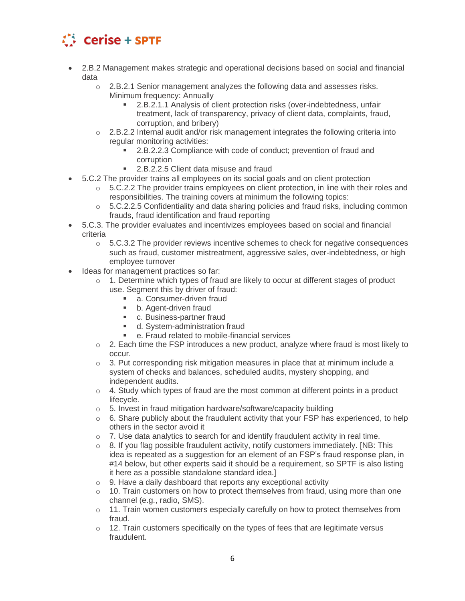- 2.B.2 Management makes strategic and operational decisions based on social and financial data
	- $\circ$  2.B.2.1 Senior management analyzes the following data and assesses risks. Minimum frequency: Annually
		- 2.B.2.1.1 Analysis of client protection risks (over-indebtedness, unfair treatment, lack of transparency, privacy of client data, complaints, fraud, corruption, and bribery)
	- $\circ$  2.B.2.2 Internal audit and/or risk management integrates the following criteria into regular monitoring activities:
		- 2.B.2.2.3 Compliance with code of conduct; prevention of fraud and corruption
		- 2.B.2.2.5 Client data misuse and fraud
- 5.C.2 The provider trains all employees on its social goals and on client protection
	- $\circ$  5.C.2.2 The provider trains employees on client protection, in line with their roles and responsibilities. The training covers at minimum the following topics:
	- $\circ$  5.C.2.2.5 Confidentiality and data sharing policies and fraud risks, including common frauds, fraud identification and fraud reporting
- 5.C.3. The provider evaluates and incentivizes employees based on social and financial criteria
	- $\circ$  5.C.3.2 The provider reviews incentive schemes to check for negative consequences such as fraud, customer mistreatment, aggressive sales, over-indebtedness, or high employee turnover
- Ideas for management practices so far:
	- $\circ$  1. Determine which types of fraud are likely to occur at different stages of product use. Segment this by driver of fraud:
		- a. Consumer-driven fraud
		- b. Agent-driven fraud
		- c. Business-partner fraud
		- **■** d. System-administration fraud
		- e. Fraud related to mobile-financial services
	- $\circ$  2. Each time the FSP introduces a new product, analyze where fraud is most likely to occur.
	- $\circ$  3. Put corresponding risk mitigation measures in place that at minimum include a system of checks and balances, scheduled audits, mystery shopping, and independent audits.
	- $\circ$  4. Study which types of fraud are the most common at different points in a product lifecycle.
	- o 5. Invest in fraud mitigation hardware/software/capacity building
	- $\circ$  6. Share publicly about the fraudulent activity that your FSP has experienced, to help others in the sector avoid it
	- $\circ$  7. Use data analytics to search for and identify fraudulent activity in real time.
	- $\circ$  8. If you flag possible fraudulent activity, notify customers immediately. [NB: This idea is repeated as a suggestion for an element of an FSP's fraud response plan, in #14 below, but other experts said it should be a requirement, so SPTF is also listing it here as a possible standalone standard idea.]
	- $\circ$  9. Have a daily dashboard that reports any exceptional activity
	- $\circ$  10. Train customers on how to protect themselves from fraud, using more than one channel (e.g., radio, SMS).
	- $\circ$  11. Train women customers especially carefully on how to protect themselves from fraud.
	- $\circ$  12. Train customers specifically on the types of fees that are legitimate versus fraudulent.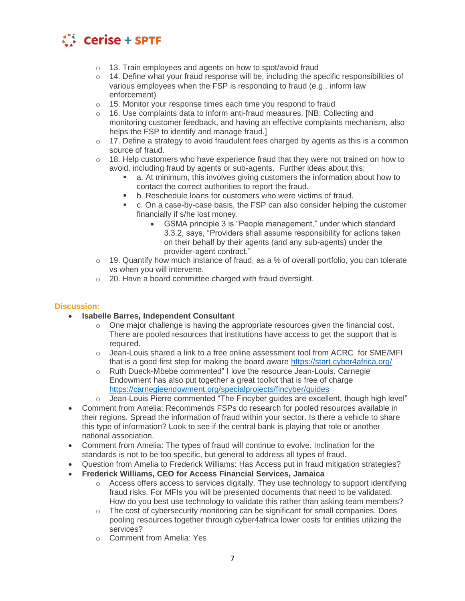# $\therefore$  Cerise + SPTF

- o 13. Train employees and agents on how to spot/avoid fraud
- $\circ$  14. Define what your fraud response will be, including the specific responsibilities of various employees when the FSP is responding to fraud (e.g., inform law enforcement)
- o 15. Monitor your response times each time you respond to fraud
- o 16. Use complaints data to inform anti-fraud measures. [NB: Collecting and monitoring customer feedback, and having an effective complaints mechanism, also helps the FSP to identify and manage fraud.]
- $\circ$  17. Define a strategy to avoid fraudulent fees charged by agents as this is a common source of fraud.
- $\circ$  18. Help customers who have experience fraud that they were not trained on how to avoid, including fraud by agents or sub-agents. Further ideas about this:
	- a. At minimum, this involves giving customers the information about how to contact the correct authorities to report the fraud.
	- b. Reschedule loans for customers who were victims of fraud.
	- c. On a case-by-case basis, the FSP can also consider helping the customer financially if s/he lost money.
		- GSMA principle 3 is "People management," under which standard 3.3.2, says, "Providers shall assume responsibility for actions taken on their behalf by their agents (and any sub-agents) under the provider-agent contract."
- $\circ$  19. Quantify how much instance of fraud, as a % of overall portfolio, you can tolerate vs when you will intervene.
- o 20. Have a board committee charged with fraud oversight.

### **Discussion:**

- **Isabelle Barres, Independent Consultant**
	- o One major challenge is having the appropriate resources given the financial cost. There are pooled resources that institutions have access to get the support that is required.
	- $\circ$  Jean-Louis shared a link to a free online assessment tool from ACRC for SME/MFI that is a good first step for making the board aware<https://start.cyber4africa.org/>
	- o Ruth Dueck-Mbebe commented" I love the resource Jean-Louis. Carnegie Endowment has also put together a great toolkit that is free of charge <https://carnegieendowment.org/specialprojects/fincyber/guides>
	- $\circ$  Jean-Louis Pierre commented "The Fincyber guides are excellent, though high level"
- Comment from Amelia: Recommends FSPs do research for pooled resources available in their regions. Spread the information of fraud within your sector. Is there a vehicle to share this type of information? Look to see if the central bank is playing that role or another national association.
- Comment from Amelia: The types of fraud will continue to evolve. Inclination for the standards is not to be too specific, but general to address all types of fraud.
- Question from Amelia to Frederick Williams: Has Access put in fraud mitigation strategies?
- **Frederick Williams, CEO for Access Financial Services, Jamaica** 
	- o Access offers access to services digitally. They use technology to support identifying fraud risks. For MFIs you will be presented documents that need to be validated. How do you best use technology to validate this rather than asking team members?
	- $\circ$  The cost of cybersecurity monitoring can be significant for small companies. Does pooling resources together through cyber4africa lower costs for entities utilizing the services?
	- o Comment from Amelia: Yes